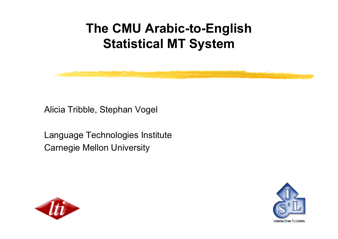# **The CMU Arabic-to-English Statistical MT System**

Alicia Tribble, Stephan Vogel

Language Technologies Institute Carnegie Mellon University



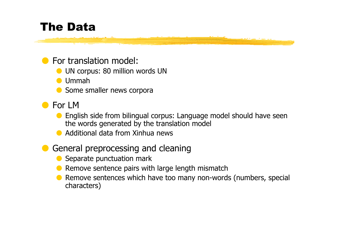## The Data

#### **O** For translation model:

- **O** UN corpus: 80 million words UN
- O Ummah
- **O** Some smaller news corpora
- For LM
	- O English side from bilingual corpus: Language model should have seen the words generated by the translation model
	- Additional data from Xinhua news

#### OGeneral preprocessing and cleaning

- OSeparate punctuation mark
- ORemove sentence pairs with large length mismatch
- O Remove sentences which have too many non-words (numbers, special characters)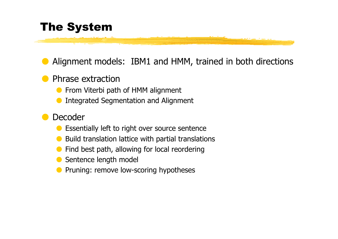## The System

OAlignment models: IBM1 and HMM, trained in both directions

#### OPhrase extraction

- **O** From Viterbi path of HMM alignment
- OIntegrated Segmentation and Alignment

#### ODecoder

- OEssentially left to right over source sentence
- OBuild translation lattice with partial translations
- OFind best path, allowing for local reordering
- OSentence length model
- OPruning: remove low-scoring hypotheses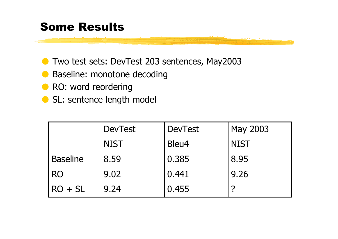### Some Results

- O Two test sets: DevTest 203 sentences, May2003
- **Baseline: monotone decoding**
- **O** RO: word reordering
- **O** SL: sentence length model

|                 | <b>DevTest</b> | <b>DevTest</b> | May 2003    |
|-----------------|----------------|----------------|-------------|
|                 | <b>NIST</b>    | Bleu4          | <b>NIST</b> |
| <b>Baseline</b> | 8.59           | 0.385          | 8.95        |
| <b>RO</b>       | 9.02           | 0.441          | 9.26        |
| $RO + SL$       | 9.24           | 0.455          |             |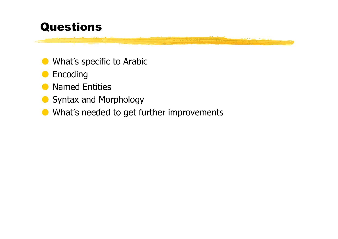### Questions

- **O** What's specific to Arabic
- OEncoding
- **O** Named Entities
- **O** Syntax and Morphology
- **O** What's needed to get further improvements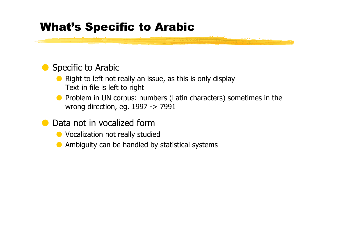### What's Specific to Arabic

#### **O** Specific to Arabic

- $\bullet$  Right to left not really an issue, as this is only display Text in file is left to right
- O Problem in UN corpus: numbers (Latin characters) sometimes in the wrong direction, eg. 1997 -> 7991
- O Data not in vocalized form
	- **O** Vocalization not really studied
	- $\bullet$  Ambiguity can be handled by statistical systems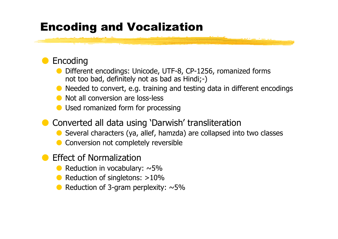## Encoding and Vocalization

#### OEncoding

O Different encodings: Unicode, UTF-8, CP-1256, romanized forms not too bad, definitely not as bad as Hindi;-)

- O Needed to convert, e.g. training and testing data in different encodings
- **O** Not all conversion are loss-less
- O Used romanized form for processing
- **O** Converted all data using 'Darwish' transliteration
	- Several characters (ya, allef, hamzda) are collapsed into two classes
	- OConversion not completely reversible
- O Effect of Normalization
	- $\bullet$  Reduction in vocabulary:  $\sim$ 5%
	- Reduction of singletons: >10%
	- $\bullet$  Reduction of 3-gram perplexity:  $\sim$ 5%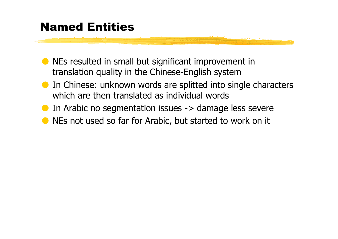## Named Entities

- O NEs resulted in small but significant improvement in translation quality in the Chinese-English system
- **O** In Chinese: unknown words are splitted into single characters which are then translated as individual words
- O In Arabic no segmentation issues -> damage less severe
- **O** NEs not used so far for Arabic, but started to work on it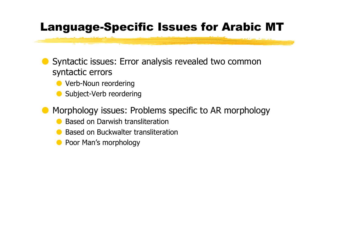## Language-Specific Issues for Arabic MT

O Syntactic issues: Error analysis revealed two common syntactic errors

OVerb-Noun reordering

OSubject-Verb reordering

OMorphology issues: Problems specific to AR morphology

- OBased on Darwish transliteration
- OBased on Buckwalter transliteration
- **O** Poor Man's morphology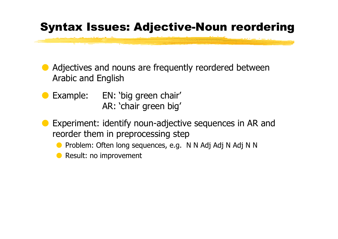## Syntax Issues: Adjective-Noun reordering

- O Adjectives and nouns are frequently reordered between Arabic and English
- O Example: EN: 'big green chair' AR: 'chair green big'
- O Experiment: identify noun-adjective sequences in AR and reorder them in preprocessing step
	- O Problem: Often long sequences, e.g. N N Adj Adj N Adj N N
	- **O** Result: no improvement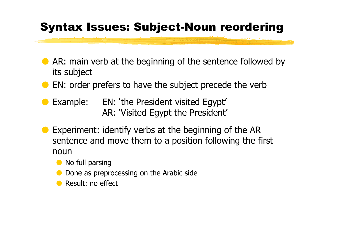## Syntax Issues: Subject-Noun reordering

- O AR: main verb at the beginning of the sentence followed by its subject
- **O** EN: order prefers to have the subject precede the verb
- O Example: EN: 'the President visited Egypt' AR: 'Visited Egypt the President'
- O Experiment: identify verbs at the beginning of the AR sentence and move them to a position following the first noun
	- **O** No full parsing
	- ODone as preprocessing on the Arabic side
	- **O** Result: no effect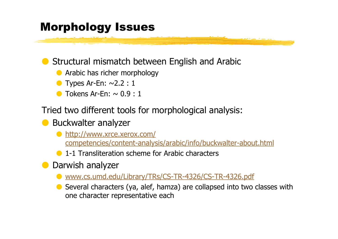## Morphology Issues

#### OStructural mismatch between English and Arabic

- **•** Arabic has richer morphology
- OTypes Ar-En:  $\sim$ 2.2 : 1
- OTokens Ar-Fn:  $\sim$  0.9:1

Tried two different tools for morphological analysis:

#### **O** Buckwalter analyzer

- O http://www.xrce.xerox.com / competencies/content-analysis/arabic/info/buckwalter-about.html
- **O** 1-1 Transliteration scheme for Arabic characters
- **O** Darwish analyzer
	- O www.cs.umd.edu/Library/TRs/CS-TR-4326/CS-TR-4326.pdf
	- O Several characters (ya, alef, hamza) are collapsed into two classes with one character representative each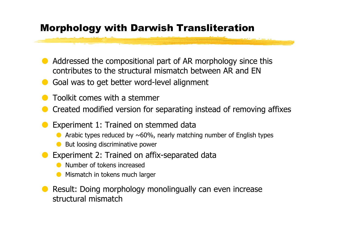### Morphology with Darwish Transliteration

- O Addressed the compositional part of AR morphology since this contributes to the structural mismatch between AR and EN
- OGoal was to get better word-level alignment
- OToolkit comes with a stemmer
- OCreated modified version for separating instead of removing affixes
- O Experiment 1: Trained on stemmed data
	- OArabic types reduced by  $\sim 60\%$ , nearly matching number of English types
	- OBut loosing discriminative power
- O Experiment 2: Trained on affix-separated data
	- ONumber of tokens increased
	- OMismatch in tokens much larger
- O Result: Doing morphology monolingually can even increase structural mismatch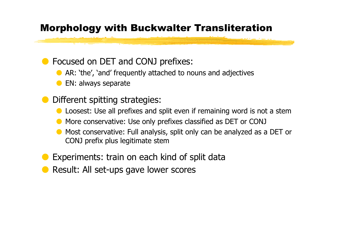### Morphology with Buckwalter Transliteration

#### OFocused on DET and CONJ prefixes:

- O AR: 'the', 'and' frequently attached to nouns and adjectives
- OEN: always separate
- O Different spitting strategies:
	- OLoosest: Use all prefixes and split even if remaining word is not a stem
	- O More conservative: Use only prefixes classified as DET or CONJ
	- O Most conservative: Full analysis, split only can be analyzed as a DET or CONJ prefix plus legitimate stem
- OExperiments: train on each kind of split data
- OResult: All set-ups gave lower scores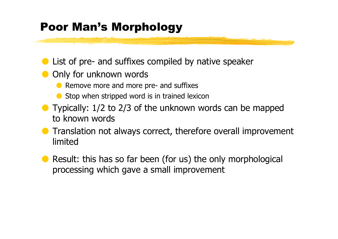## Poor Man's Morphology

- **O** List of pre- and suffixes compiled by native speaker
- **O** Only for unknown words
	- **•** Remove more and more pre- and suffixes
	- $\bullet$  Stop when stripped word is in trained lexicon
- **O** Typically: 1/2 to 2/3 of the unknown words can be mapped to known words
- **O** Translation not always correct, therefore overall improvement limited
- O Result: this has so far been (for us) the only morphological processing which gave a small improvement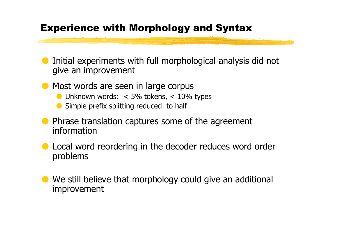#### Experience with Morphology and Syntax

- O Initial experiments with full morphological analysis did not give an improvement
- **O** Most words are seen in large corpus
	- $\bullet$  Unknown words:  $\,< 5\%$  tokens,  $\,< 10\%$  types
	- OSimple prefix splitting reduced to half
- **O** Phrase translation captures some of the agreement information
- **O** Local word reordering in the decoder reduces word order problems
- O We still believe that morphology could give an additional improvement